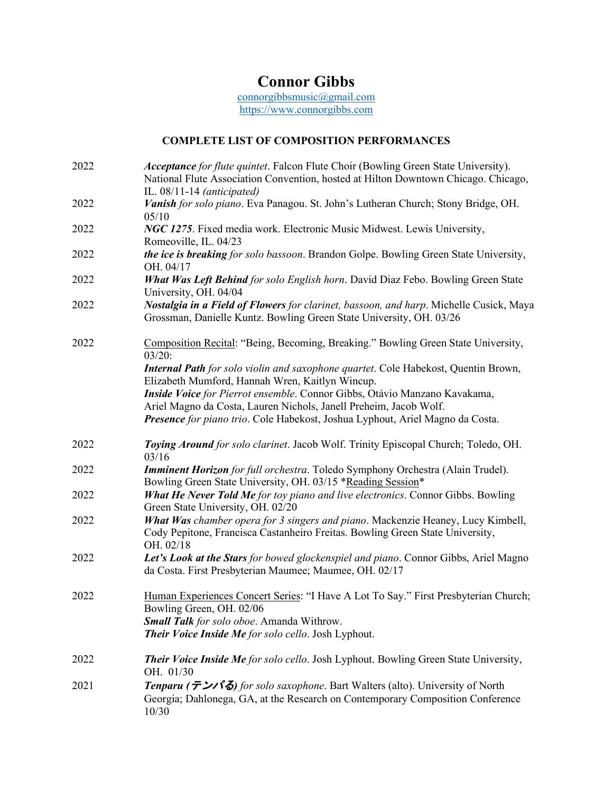## **Connor Gibbs**

[connorgibbsmusic@gmail.com](mailto:connorgibbsmusic@gmail.com) [https://www.connorgibbs.com](https://www.connorgibbs.com/)

## **COMPLETE LIST OF COMPOSITION PERFORMANCES**

| 2022 | Acceptance for flute quintet. Falcon Flute Choir (Bowling Green State University).<br>National Flute Association Convention, hosted at Hilton Downtown Chicago. Chicago,<br>IL. $08/11-14$ (anticipated)           |
|------|--------------------------------------------------------------------------------------------------------------------------------------------------------------------------------------------------------------------|
| 2022 | Vanish for solo piano. Eva Panagou. St. John's Lutheran Church; Stony Bridge, OH.<br>05/10                                                                                                                         |
| 2022 | NGC 1275. Fixed media work. Electronic Music Midwest. Lewis University,<br>Romeoville, IL. 04/23                                                                                                                   |
| 2022 | the ice is breaking for solo bassoon. Brandon Golpe. Bowling Green State University,<br>OH. 04/17                                                                                                                  |
| 2022 | What Was Left Behind for solo English horn. David Diaz Febo. Bowling Green State<br>University, OH. 04/04                                                                                                          |
| 2022 | Nostalgia in a Field of Flowers for clarinet, bassoon, and harp. Michelle Cusick, Maya<br>Grossman, Danielle Kuntz. Bowling Green State University, OH. 03/26                                                      |
| 2022 | Composition Recital: "Being, Becoming, Breaking." Bowling Green State University,<br>03/20:                                                                                                                        |
|      | <b>Internal Path</b> for solo violin and saxophone quartet. Cole Habekost, Quentin Brown,<br>Elizabeth Mumford, Hannah Wren, Kaitlyn Wincup.                                                                       |
|      | Inside Voice for Pierrot ensemble. Connor Gibbs, Otávio Manzano Kavakama,                                                                                                                                          |
|      | Ariel Magno da Costa, Lauren Nichols, Janell Preheim, Jacob Wolf.<br>Presence for piano trio. Cole Habekost, Joshua Lyphout, Ariel Magno da Costa.                                                                 |
|      |                                                                                                                                                                                                                    |
| 2022 | Toying Around for solo clarinet. Jacob Wolf. Trinity Episcopal Church; Toledo, OH.<br>03/16                                                                                                                        |
| 2022 | Imminent Horizon for full orchestra. Toledo Symphony Orchestra (Alain Trudel).<br>Bowling Green State University, OH. 03/15 *Reading Session*                                                                      |
| 2022 | What He Never Told Me for toy piano and live electronics. Connor Gibbs. Bowling                                                                                                                                    |
|      |                                                                                                                                                                                                                    |
| 2022 | Green State University, OH. 02/20<br>What Was chamber opera for 3 singers and piano. Mackenzie Heaney, Lucy Kimbell,<br>Cody Pepitone, Francisca Castanheiro Freitas. Bowling Green State University,<br>OH. 02/18 |
| 2022 | Let's Look at the Stars for bowed glockenspiel and piano. Connor Gibbs, Ariel Magno<br>da Costa. First Presbyterian Maumee; Maumee, OH. 02/17                                                                      |
| 2022 | Human Experiences Concert Series: "I Have A Lot To Say." First Presbyterian Church;<br>Bowling Green, OH. 02/06                                                                                                    |
|      | Small Talk for solo oboe. Amanda Withrow.<br>Their Voice Inside Me for solo cello. Josh Lyphout.                                                                                                                   |
| 2022 | <b>Their Voice Inside Me</b> for solo cello. Josh Lyphout. Bowling Green State University,<br>OH. 01/30                                                                                                            |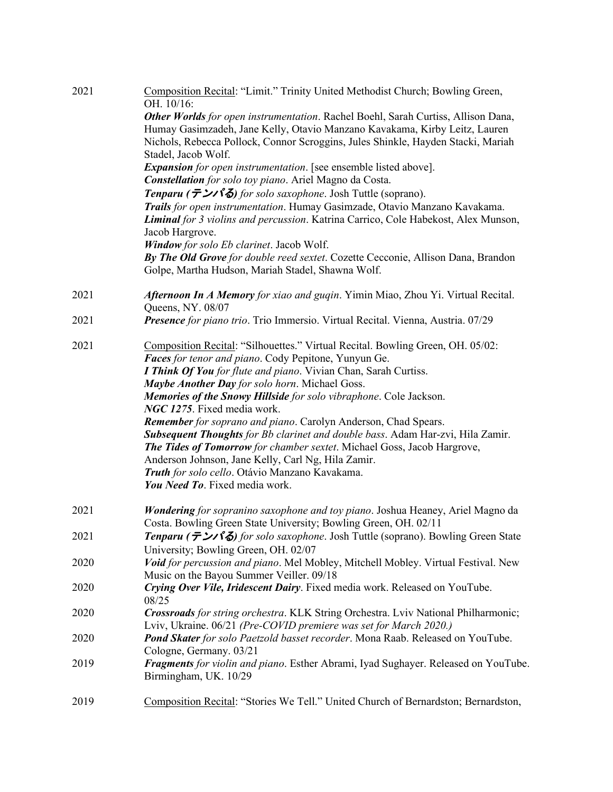| 2021 | Composition Recital: "Limit." Trinity United Methodist Church; Bowling Green,<br>OH. 10/16:                                                                                         |
|------|-------------------------------------------------------------------------------------------------------------------------------------------------------------------------------------|
|      | Other Worlds for open instrumentation. Rachel Boehl, Sarah Curtiss, Allison Dana,<br>Humay Gasimzadeh, Jane Kelly, Otavio Manzano Kavakama, Kirby Leitz, Lauren                     |
|      | Nichols, Rebecca Pollock, Connor Scroggins, Jules Shinkle, Hayden Stacki, Mariah<br>Stadel, Jacob Wolf.                                                                             |
|      | <b>Expansion</b> for open instrumentation. [see ensemble listed above].<br>Constellation for solo toy piano. Ariel Magno da Costa.                                                  |
|      | Tenparu ( $\bar{\tau}$ ) for solo saxophone. Josh Tuttle (soprano).                                                                                                                 |
|      | Trails for open instrumentation. Humay Gasimzade, Otavio Manzano Kavakama.<br>Liminal for 3 violins and percussion. Katrina Carrico, Cole Habekost, Alex Munson,<br>Jacob Hargrove. |
|      | Window for solo Eb clarinet. Jacob Wolf.                                                                                                                                            |
|      | By The Old Grove for double reed sextet. Cozette Cecconie, Allison Dana, Brandon<br>Golpe, Martha Hudson, Mariah Stadel, Shawna Wolf.                                               |
| 2021 | Afternoon In A Memory for xiao and guqin. Yimin Miao, Zhou Yi. Virtual Recital.<br>Queens, NY. 08/07                                                                                |
| 2021 | Presence for piano trio. Trio Immersio. Virtual Recital. Vienna, Austria. 07/29                                                                                                     |
| 2021 | Composition Recital: "Silhouettes." Virtual Recital. Bowling Green, OH. 05/02:<br>Faces for tenor and piano. Cody Pepitone, Yunyun Ge.                                              |
|      | I Think Of You for flute and piano. Vivian Chan, Sarah Curtiss.                                                                                                                     |
|      | Maybe Another Day for solo horn. Michael Goss.                                                                                                                                      |
|      | Memories of the Snowy Hillside for solo vibraphone. Cole Jackson.<br>NGC 1275. Fixed media work.                                                                                    |
|      | Remember for soprano and piano. Carolyn Anderson, Chad Spears.                                                                                                                      |
|      | Subsequent Thoughts for Bb clarinet and double bass. Adam Har-zvi, Hila Zamir.<br><b>The Tides of Tomorrow</b> for chamber sextet. Michael Goss, Jacob Hargrove,                    |
|      | Anderson Johnson, Jane Kelly, Carl Ng, Hila Zamir.                                                                                                                                  |
|      | Truth for solo cello. Otávio Manzano Kavakama.<br>You Need To. Fixed media work.                                                                                                    |
| 2021 | Wondering for sopranino saxophone and toy piano. Joshua Heaney, Ariel Magno da<br>Costa. Bowling Green State University; Bowling Green, OH. 02/11                                   |
| 2021 | Tenparu (テンパる) for solo saxophone. Josh Tuttle (soprano). Bowling Green State<br>University; Bowling Green, OH. 02/07                                                               |
| 2020 | Void for percussion and piano. Mel Mobley, Mitchell Mobley. Virtual Festival. New<br>Music on the Bayou Summer Veiller. 09/18                                                       |
| 2020 | Crying Over Vile, Iridescent Dairy. Fixed media work. Released on YouTube.<br>08/25                                                                                                 |
| 2020 | Crossroads for string orchestra. KLK String Orchestra. Lviv National Philharmonic;<br>Lviv, Ukraine. 06/21 (Pre-COVID premiere was set for March 2020.)                             |
| 2020 | Pond Skater for solo Paetzold basset recorder. Mona Raab. Released on YouTube.<br>Cologne, Germany. 03/21                                                                           |
| 2019 | Fragments for violin and piano. Esther Abrami, Iyad Sughayer. Released on YouTube.<br>Birmingham, UK. 10/29                                                                         |
| 2019 | Composition Recital: "Stories We Tell." United Church of Bernardston; Bernardston,                                                                                                  |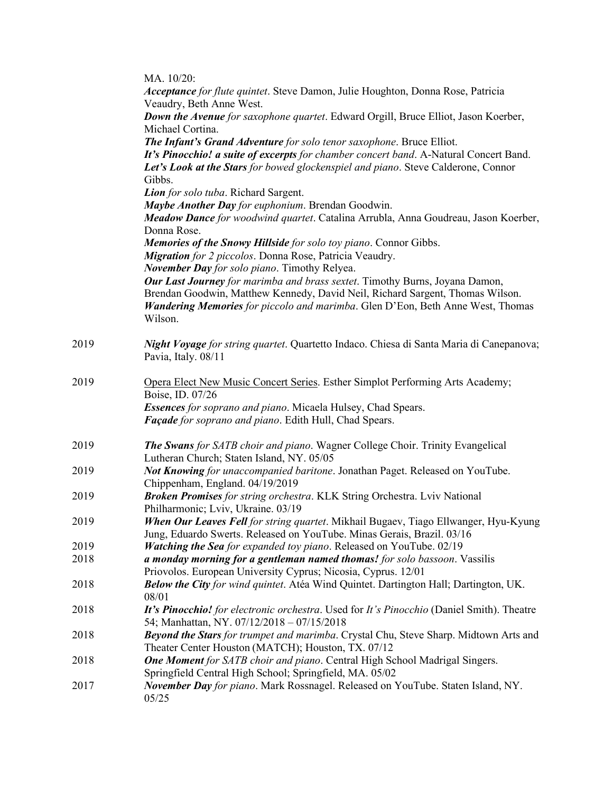|      | MA. 10/20:                                                                                                     |
|------|----------------------------------------------------------------------------------------------------------------|
|      | Acceptance for flute quintet. Steve Damon, Julie Houghton, Donna Rose, Patricia                                |
|      | Veaudry, Beth Anne West.                                                                                       |
|      | Down the Avenue for saxophone quartet. Edward Orgill, Bruce Elliot, Jason Koerber,                             |
|      | Michael Cortina.                                                                                               |
|      | The Infant's Grand Adventure for solo tenor saxophone. Bruce Elliot.                                           |
|      | It's Pinocchio! a suite of excerpts for chamber concert band. A-Natural Concert Band.                          |
|      | Let's Look at the Stars for bowed glockenspiel and piano. Steve Calderone, Connor                              |
|      | Gibbs.                                                                                                         |
|      | Lion for solo tuba. Richard Sargent.                                                                           |
|      | Maybe Another Day for euphonium. Brendan Goodwin.                                                              |
|      | Meadow Dance for woodwind quartet. Catalina Arrubla, Anna Goudreau, Jason Koerber,                             |
|      | Donna Rose.                                                                                                    |
|      | Memories of the Snowy Hillside for solo toy piano. Connor Gibbs.                                               |
|      | Migration for 2 piccolos. Donna Rose, Patricia Veaudry.                                                        |
|      | November Day for solo piano. Timothy Relyea.                                                                   |
|      | Our Last Journey for marimba and brass sextet. Timothy Burns, Joyana Damon,                                    |
|      | Brendan Goodwin, Matthew Kennedy, David Neil, Richard Sargent, Thomas Wilson.                                  |
|      | <b>Wandering Memories</b> for piccolo and marimba. Glen D'Eon, Beth Anne West, Thomas                          |
|      | Wilson.                                                                                                        |
| 2019 |                                                                                                                |
|      | Night Voyage for string quartet. Quartetto Indaco. Chiesa di Santa Maria di Canepanova;<br>Pavia, Italy. 08/11 |
|      |                                                                                                                |
| 2019 | Opera Elect New Music Concert Series. Esther Simplot Performing Arts Academy;                                  |
|      | Boise, ID. 07/26                                                                                               |
|      | Essences for soprano and piano. Micaela Hulsey, Chad Spears.                                                   |
|      | Façade for soprano and piano. Edith Hull, Chad Spears.                                                         |
|      |                                                                                                                |
| 2019 | The Swans for SATB choir and piano. Wagner College Choir. Trinity Evangelical                                  |
|      | Lutheran Church; Staten Island, NY. 05/05                                                                      |
| 2019 | Not Knowing for unaccompanied baritone. Jonathan Paget. Released on YouTube.                                   |
| 2019 | Chippenham, England. 04/19/2019<br>Broken Promises for string orchestra. KLK String Orchestra. Lviv National   |
|      | Philharmonic; Lviv, Ukraine. 03/19                                                                             |
| 2019 | When Our Leaves Fell for string quartet. Mikhail Bugaev, Tiago Ellwanger, Hyu-Kyung                            |
|      | Jung, Eduardo Swerts. Released on YouTube. Minas Gerais, Brazil. 03/16                                         |
| 2019 | Watching the Sea for expanded toy piano. Released on YouTube. 02/19                                            |
| 2018 | a monday morning for a gentleman named thomas! for solo bassoon. Vassilis                                      |
|      | Priovolos. European University Cyprus; Nicosia, Cyprus. 12/01                                                  |
| 2018 | Below the City for wind quintet. Atéa Wind Quintet. Dartington Hall; Dartington, UK.                           |
|      | 08/01                                                                                                          |
| 2018 | It's Pinocchio! for electronic orchestra. Used for It's Pinocchio (Daniel Smith). Theatre                      |
|      | 54; Manhattan, NY. 07/12/2018 - 07/15/2018                                                                     |
| 2018 | Beyond the Stars for trumpet and marimba. Crystal Chu, Steve Sharp. Midtown Arts and                           |
|      | Theater Center Houston (MATCH); Houston, TX. 07/12                                                             |
| 2018 | One Moment for SATB choir and piano. Central High School Madrigal Singers.                                     |
|      | Springfield Central High School; Springfield, MA. 05/02                                                        |
| 2017 | November Day for piano. Mark Rossnagel. Released on YouTube. Staten Island, NY.                                |
|      | 05/25                                                                                                          |